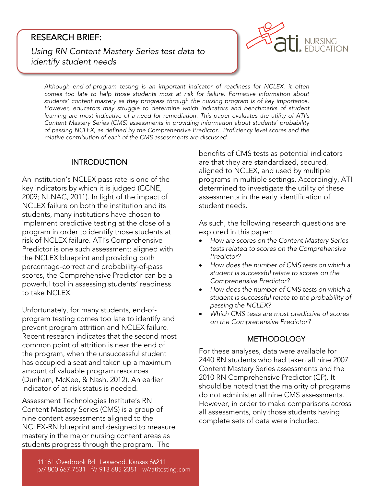## RESEARCH BRIEF:

*Using RN Content Mastery Series test data to identify student needs*



*Although end-of-program testing is an important indicator of readiness for NCLEX, it often*  students' content mastery as they progress through the nursing program is of key importance. However, educators may struggle to determine which indicators and benchmarks of student *Hearning are most indicative of a need for remediation. This paper evaluates the utility of ATI's* Content Mastery Series (CMS) assessments in providing information about students' probability of passing NCLEX, as defined by the Comprehensive Predictor. Proficiency level scores and the relative contribution of each of the CMS assessments are discussed. *relative contribution of each of the CMS assessments are discussed.*

#### **INTRODUCTION** INTRODUCTION

An institution's NCLEX pass rate is one of the key indicators by which it is judged (CCNE, 2009; NLNAC, 2011). In light of the impact of NCLEX failure on both the institution and its students, many institutions have chosen to implement predictive testing at the close of a program in order to identify those students at risk of NCLEX failure. ATI's Comprehensive Predictor is one such assessment; aligned with the NCLEX blueprint and providing both percentage-correct and probability-of-pass scores, the Comprehensive Predictor can be a powerful tool in assessing students' readiness to take NCLEX. to take NCLEX.

Unfortunately, for many students, end-ofprevent program attrition and NCLEX failure. Recent research indicates that the second most common point of attrition is near the end of the program, when the unsuccessful student has occupied a seat and taken up a maximum amount of valuable program resources (Dunham, McKee, & Nash, 2012). An earlier indicator of at-risk status is needed.

indicator of at-risk status is needed. Content Mastery Series (CMS) is a group of nine content assessments aligned to the NCLEX-RN blueprint and designed to measure mastery in the major nursing content areas as mastery in the major nursing content areas as students progress through the program. The

benefits of CMS tests as potential indicators aligned to NCLEX, and used by multiple programs in multiple settings. Accordingly, ATI determined to investigate the utility of these assessments in the early identification of student needs. student needs.

As such, the following research questions are<br>explored in this paper:

- *How are scores on the Content Mastery Series*<br> *tests related to scores on the Comprehensive tests related to scores on the Comprehensive*
- *Predictor? How does the number of CMS tests on which a student is successful relate to scores on the*
- How does the number of CMS tests on which a<br>student is successful relate to the probability of *student is successful relate to the probability of*
- Which CMS tests are most predictive of scores<br>
on the Comprehensive Predictor? *on the Comprehensive Predictor?*

#### **METHODOLOGY**

METHODOLOGY AND ALL AND DESCRIPTION OF A STRUCK AND ALL AND A STRUCK AND A STRUCK AND A STRUCK AND A STRUCK AN 2440 RN students who had taken all nine 2007 Content Mastery Series assessments and the 2010 RN Comprehensive Predictor (CP). It should be noted that the majority of programs do not administer all nine CMS assessments. However, in order to make comparisons across all assessments, only those students having complete sets of data were included complete sets of data were included.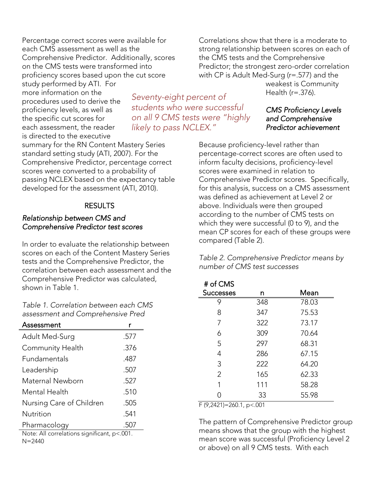Percentage correct scores were available for Comprehensive Predictor. Additionally, scores on the CMS tests were transformed into. proficiency scores based upon the cut score

study performed by ATI. For more information on the procedures used to derive the proficiency levels, as well as the specific cut scores for each assessment, the reader is directed to the executive

summary for the RN Content Mastery Series standard setting study (ATI, 2007). For the Comprehensive Predictor, percentage correct scores were converted to a probability of passing NCLEX based on the expectancy table developed for the assessment (ATI, 2010). developed for the assessment (ATI, 2010).

# $\frac{1}{2}$

### *Relationship between CMS and Comprehensive Predictor test scores*

In order to evaluate the relationship between scores on each of the Content Mastery Series tests and the Comprehensive Predictor, the correlation between each assessment and the Comprehensive Predictor was calculated. shown in Table 1. shown in Table 1.

Table 1 Correlation between each CMS  $as$ s assessment and Comprehensive Pred

| Assessment                                  |      |  |
|---------------------------------------------|------|--|
| Adult Med-Surg                              | .577 |  |
| <b>Community Health</b>                     | .376 |  |
| Fundamentals                                | .487 |  |
| Leadership                                  | .507 |  |
| Maternal Newborn                            | .527 |  |
| Mental Health                               | .510 |  |
| Nursing Care of Children                    | .505 |  |
| Nutrition                                   | .541 |  |
| Pharmacology                                | .507 |  |
| Note: All correlations significant, p<.001. |      |  |

 $N = 2440$ 

Correlations show that there is a moderate to the CMS tests and the Comprehensive Predictor; the strongest zero-order correlation with CP is Adult Med-Surg ( $r = .577$ ) and the weakest is Community

Health  $(r=.376)$ .  $\cdots$ 

### *CMS Proficiency Levels*  **Predictor achievement** *Predictor achievement*

Because proficiency-level rather than<br>percentage-correct scores are often used to inform faculty decisions, proficiency-level scores were examined in relation to Comprehensive Predictor scores. Specifically, for this analysis, success on a CMS assessment was defined as achievement at Level 2 or above. Individuals were then grouped according to the number of CMS tests on which they were successful ( $0$  to  $9$ ), and the mean CP scores for each of these groups were compared (Table 2) compared  $\alpha$ , there  $\alpha$ ,

*Table 2. Comprehensive Predictor means by number of CMS test successes*

| # of CMS                                    |     |       |
|---------------------------------------------|-----|-------|
| <b>Successes</b>                            | n   | Mean  |
| 9                                           | 348 | 78.03 |
| 8                                           | 347 | 75.53 |
| 7                                           | 322 | 73.17 |
| 6                                           | 309 | 70.64 |
| 5                                           | 297 | 68.31 |
| 4                                           | 286 | 67.15 |
| 3                                           | 222 | 64.20 |
| 2                                           | 165 | 62.33 |
| 1                                           | 111 | 58.28 |
| Ω                                           | 33  | 55.98 |
| $\Gamma$ (0.2421) $\Gamma$ 240.1 $\sim$ 001 |     |       |

 $\sum_{i=1}^{n}$ 

The pattern of Comprehensive Predictor group<br>means shows that the group with the highest mean score was successful (Proficiency Level 2 mean score mas succession, completely level 2<br>or above) on all 9 CMS tests With each or above) on all 9 CMS tests. With each

*Seventy-eight percent of*  **on all 9 CMS tests were "highly** *on all 9 CMS tests were "highly likely to pass NCLEX."*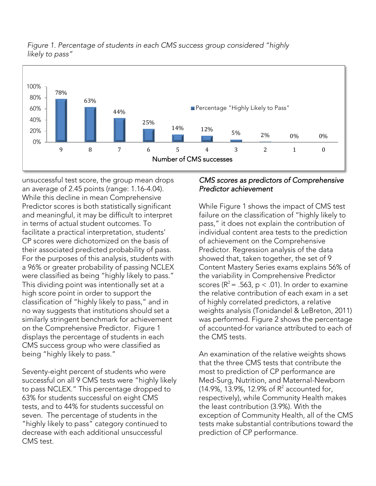

*Figure 1. Percentage of students in each CMS success group considered "highly* 

unsuccessful test score, the group mean drops<br>an average of 2.45 points (range: 1.16-4.04). While this decline in mean Comprehensive Predictor scores is both statistically significant and meaningful, it may be difficult to interpret in terms of actual student outcomes. To facilitate a practical interpretation, students' CP scores were dichotomized on the basis of their associated predicted probability of pass. For the purposes of this analysis, students with a 96% or greater probability of passing NCLEX were classified as being "highly likely to pass." This dividing point was intentionally set at a high score point in order to support the classification of "highly likely to pass," and in no way suggests that institutions should set a similarly stringent benchmark for achievement on the Comprehensive Predictor. Figure 1 displays the percentage of students in each CMS success group who were classified as being "bighty to pass"

Seventy-eight percent of students who were to pass NCLEX." This percentage dropped to 63% for students successful on eight CMS tests, and to 44% for students successful on seven. The percentage of students in the "highly likely to pass" category continued to decrease with each additional unsuccessful CMS test. CMS test.

being "highly likely to pass."

## *CMS scores as predictors of Comprehensive Predictor achievement*

While Figure 1 shows the impact of CMS test<br>failure on the classification of "highly likely to pass," it does not explain the contribution of individual content area tests to the prediction of achievement on the Comprehensive Predictor. Regression analysis of the data showed that, taken together, the set of 9 Content Mastery Series exams explains 56% of the variability in Comprehensive Predictor scores ( $R^2$  = .563, p < .01). In order to examine the relative contribution of each exam in a set of highly correlated predictors, a relative weights analysis (Tonidandel & LeBreton, 2011) was performed. Figure 2 shows the percentage of accounted-for variance attributed to each of the CMS tests. the CMS tests.

An examination of the relative weights shows<br>that the three CMS tests that contribute the most to prediction of CP performance are Med-Surg, Nutrition, and Maternal-Newborn (14.9%, 13.9%, 12.9% of  $R^2$  accounted for, (14.9%, 13.9%, 12.9% of R<sup>-</sup>accounted for,<br>respectively), while Community Health ma the least contribution (3.9%). With the exception of Community Health, all of the CMS tests make substantial contributions toward the prediction of CP performance. prediction of CP performance.